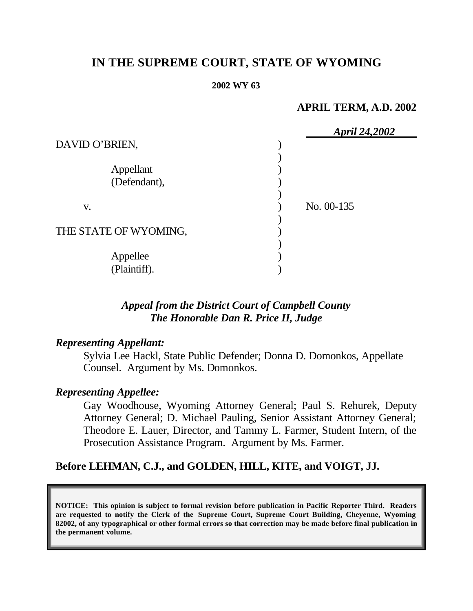# **IN THE SUPREME COURT, STATE OF WYOMING**

#### **2002 WY 63**

### **APRIL TERM, A.D. 2002**

|                       | <b>April 24,2002</b> |
|-----------------------|----------------------|
| DAVID O'BRIEN,        |                      |
|                       |                      |
| Appellant             |                      |
| (Defendant),          |                      |
|                       |                      |
| V.                    | No. 00-135           |
|                       |                      |
| THE STATE OF WYOMING, |                      |
|                       |                      |
| Appellee              |                      |
| (Plaintiff).          |                      |

# *Appeal from the District Court of Campbell County The Honorable Dan R. Price II, Judge*

### *Representing Appellant:*

Sylvia Lee Hackl, State Public Defender; Donna D. Domonkos, Appellate Counsel. Argument by Ms. Domonkos.

### *Representing Appellee:*

Gay Woodhouse, Wyoming Attorney General; Paul S. Rehurek, Deputy Attorney General; D. Michael Pauling, Senior Assistant Attorney General; Theodore E. Lauer, Director, and Tammy L. Farmer, Student Intern, of the Prosecution Assistance Program. Argument by Ms. Farmer.

# **Before LEHMAN, C.J., and GOLDEN, HILL, KITE, and VOIGT, JJ.**

**NOTICE: This opinion is subject to formal revision before publication in Pacific Reporter Third. Readers are requested to notify the Clerk of the Supreme Court, Supreme Court Building, Cheyenne, Wyoming 82002, of any typographical or other formal errors so that correction may be made before final publication in the permanent volume.**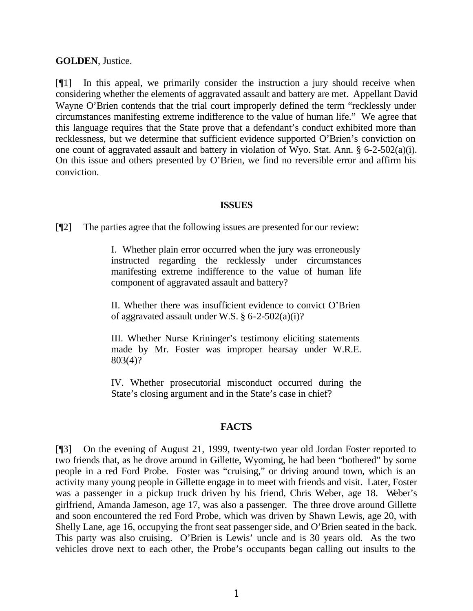#### **GOLDEN**, Justice.

[¶1] In this appeal, we primarily consider the instruction a jury should receive when considering whether the elements of aggravated assault and battery are met. Appellant David Wayne O'Brien contends that the trial court improperly defined the term "recklessly under circumstances manifesting extreme indifference to the value of human life." We agree that this language requires that the State prove that a defendant's conduct exhibited more than recklessness, but we determine that sufficient evidence supported O'Brien's conviction on one count of aggravated assault and battery in violation of Wyo. Stat. Ann. § 6-2-502(a)(i). On this issue and others presented by O'Brien, we find no reversible error and affirm his conviction.

### **ISSUES**

[¶2] The parties agree that the following issues are presented for our review:

I. Whether plain error occurred when the jury was erroneously instructed regarding the recklessly under circumstances manifesting extreme indifference to the value of human life component of aggravated assault and battery?

II. Whether there was insufficient evidence to convict O'Brien of aggravated assault under W.S.  $\S 6$ -2-502(a)(i)?

III. Whether Nurse Krininger's testimony eliciting statements made by Mr. Foster was improper hearsay under W.R.E. 803(4)?

IV. Whether prosecutorial misconduct occurred during the State's closing argument and in the State's case in chief?

### **FACTS**

[¶3] On the evening of August 21, 1999, twenty-two year old Jordan Foster reported to two friends that, as he drove around in Gillette, Wyoming, he had been "bothered" by some people in a red Ford Probe. Foster was "cruising," or driving around town, which is an activity many young people in Gillette engage in to meet with friends and visit. Later, Foster was a passenger in a pickup truck driven by his friend, Chris Weber, age 18. Weber's girlfriend, Amanda Jameson, age 17, was also a passenger. The three drove around Gillette and soon encountered the red Ford Probe, which was driven by Shawn Lewis, age 20, with Shelly Lane, age 16, occupying the front seat passenger side, and O'Brien seated in the back. This party was also cruising. O'Brien is Lewis' uncle and is 30 years old. As the two vehicles drove next to each other, the Probe's occupants began calling out insults to the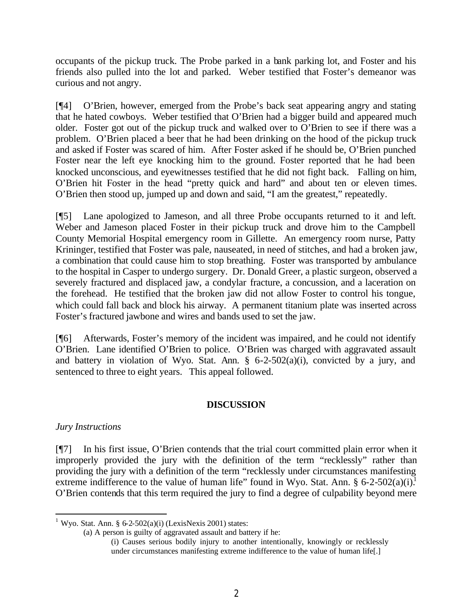occupants of the pickup truck. The Probe parked in a bank parking lot, and Foster and his friends also pulled into the lot and parked. Weber testified that Foster's demeanor was curious and not angry.

[¶4] O'Brien, however, emerged from the Probe's back seat appearing angry and stating that he hated cowboys. Weber testified that O'Brien had a bigger build and appeared much older. Foster got out of the pickup truck and walked over to O'Brien to see if there was a problem. O'Brien placed a beer that he had been drinking on the hood of the pickup truck and asked if Foster was scared of him. After Foster asked if he should be, O'Brien punched Foster near the left eye knocking him to the ground. Foster reported that he had been knocked unconscious, and eyewitnesses testified that he did not fight back. Falling on him, O'Brien hit Foster in the head "pretty quick and hard" and about ten or eleven times. O'Brien then stood up, jumped up and down and said, "I am the greatest," repeatedly.

[¶5] Lane apologized to Jameson, and all three Probe occupants returned to it and left. Weber and Jameson placed Foster in their pickup truck and drove him to the Campbell County Memorial Hospital emergency room in Gillette. An emergency room nurse, Patty Krininger, testified that Foster was pale, nauseated, in need of stitches, and had a broken jaw, a combination that could cause him to stop breathing. Foster was transported by ambulance to the hospital in Casper to undergo surgery. Dr. Donald Greer, a plastic surgeon, observed a severely fractured and displaced jaw, a condylar fracture, a concussion, and a laceration on the forehead. He testified that the broken jaw did not allow Foster to control his tongue, which could fall back and block his airway. A permanent titanium plate was inserted across Foster's fractured jawbone and wires and bands used to set the jaw.

[¶6] Afterwards, Foster's memory of the incident was impaired, and he could not identify O'Brien. Lane identified O'Brien to police. O'Brien was charged with aggravated assault and battery in violation of Wyo. Stat. Ann.  $\S$  6-2-502(a)(i), convicted by a jury, and sentenced to three to eight years. This appeal followed.

### **DISCUSSION**

### *Jury Instructions*

[¶7] In his first issue, O'Brien contends that the trial court committed plain error when it improperly provided the jury with the definition of the term "recklessly" rather than providing the jury with a definition of the term "recklessly under circumstances manifesting extreme indifference to the value of human life" found in Wyo. Stat. Ann.  $\S 6$ -2-502(a)(i).<sup>1</sup> O'Brien contends that this term required the jury to find a degree of culpability beyond mere

(a) A person is guilty of aggravated assault and battery if he:

(i) Causes serious bodily injury to another intentionally, knowingly or recklessly under circumstances manifesting extreme indifference to the value of human life[.]

 <sup>1</sup> Wyo. Stat. Ann. § 6-2-502(a)(i) (LexisNexis 2001) states: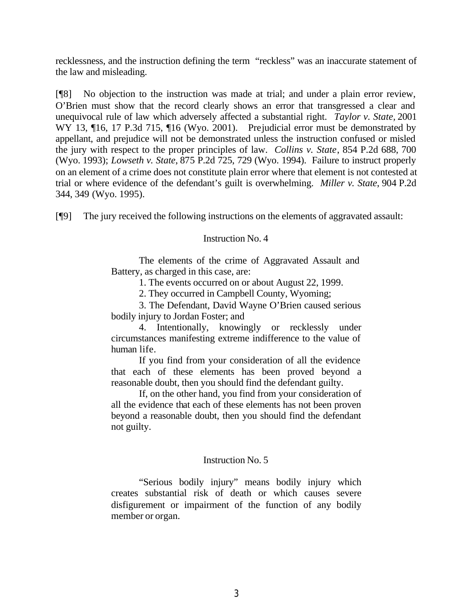recklessness, and the instruction defining the term "reckless" was an inaccurate statement of the law and misleading.

[¶8] No objection to the instruction was made at trial; and under a plain error review, O'Brien must show that the record clearly shows an error that transgressed a clear and unequivocal rule of law which adversely affected a substantial right. *Taylor v. State,* 2001 WY 13, 106, 17 P.3d 715, 116 (Wyo. 2001). Prejudicial error must be demonstrated by appellant, and prejudice will not be demonstrated unless the instruction confused or misled the jury with respect to the proper principles of law. *Collins v. State*, 854 P.2d 688, 700 (Wyo. 1993); *Lowseth v. State*, 875 P.2d 725, 729 (Wyo. 1994). Failure to instruct properly on an element of a crime does not constitute plain error where that element is not contested at trial or where evidence of the defendant's guilt is overwhelming. *Miller v. State*, 904 P.2d 344, 349 (Wyo. 1995).

[¶9] The jury received the following instructions on the elements of aggravated assault:

### Instruction No. 4

The elements of the crime of Aggravated Assault and Battery, as charged in this case, are:

1. The events occurred on or about August 22, 1999.

2. They occurred in Campbell County, Wyoming;

3. The Defendant, David Wayne O'Brien caused serious bodily injury to Jordan Foster; and

4. Intentionally, knowingly or recklessly under circumstances manifesting extreme indifference to the value of human life.

If you find from your consideration of all the evidence that each of these elements has been proved beyond a reasonable doubt, then you should find the defendant guilty.

If, on the other hand, you find from your consideration of all the evidence that each of these elements has not been proven beyond a reasonable doubt, then you should find the defendant not guilty.

### Instruction No. 5

"Serious bodily injury" means bodily injury which creates substantial risk of death or which causes severe disfigurement or impairment of the function of any bodily member or organ.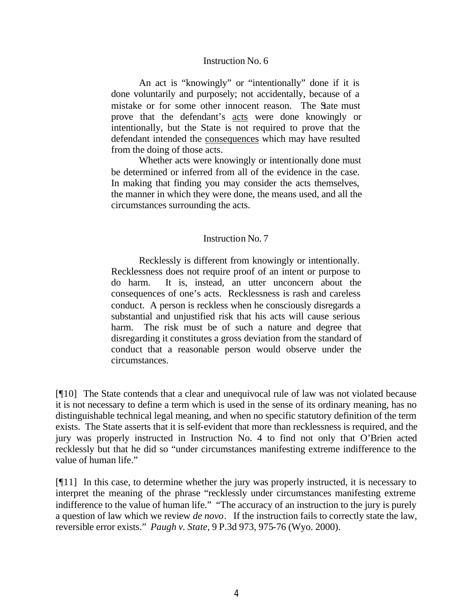#### Instruction No. 6

An act is "knowingly" or "intentionally" done if it is done voluntarily and purposely; not accidentally, because of a mistake or for some other innocent reason. The State must prove that the defendant's acts were done knowingly or intentionally, but the State is not required to prove that the defendant intended the consequences which may have resulted from the doing of those acts.

Whether acts were knowingly or intentionally done must be determined or inferred from all of the evidence in the case. In making that finding you may consider the acts themselves, the manner in which they were done, the means used, and all the circumstances surrounding the acts.

#### Instruction No. 7

Recklessly is different from knowingly or intentionally. Recklessness does not require proof of an intent or purpose to do harm. It is, instead, an utter unconcern about the consequences of one's acts. Recklessness is rash and careless conduct. A person is reckless when he consciously disregards a substantial and unjustified risk that his acts will cause serious harm. The risk must be of such a nature and degree that disregarding it constitutes a gross deviation from the standard of conduct that a reasonable person would observe under the circumstances.

[¶10] The State contends that a clear and unequivocal rule of law was not violated because it is not necessary to define a term which is used in the sense of its ordinary meaning, has no distinguishable technical legal meaning, and when no specific statutory definition of the term exists. The State asserts that it is self-evident that more than recklessness is required, and the jury was properly instructed in Instruction No. 4 to find not only that O'Brien acted recklessly but that he did so "under circumstances manifesting extreme indifference to the value of human life."

[¶11] In this case, to determine whether the jury was properly instructed, it is necessary to interpret the meaning of the phrase "recklessly under circumstances manifesting extreme indifference to the value of human life." "The accuracy of an instruction to the jury is purely a question of law which we review *de novo*. If the instruction fails to correctly state the law, reversible error exists." *Paugh v. State,* 9 P.3d 973, 975-76 (Wyo. 2000).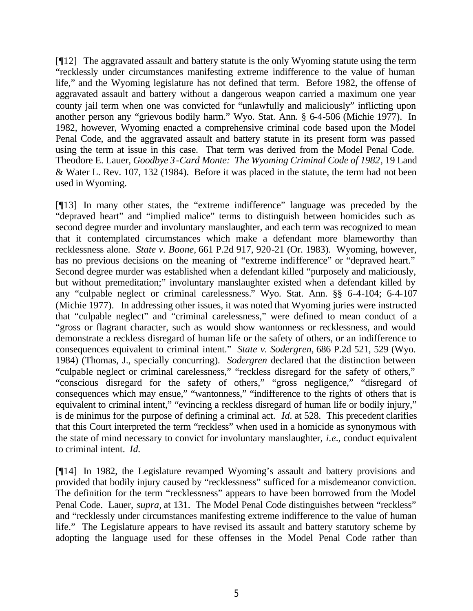[¶12] The aggravated assault and battery statute is the only Wyoming statute using the term "recklessly under circumstances manifesting extreme indifference to the value of human life," and the Wyoming legislature has not defined that term. Before 1982, the offense of aggravated assault and battery without a dangerous weapon carried a maximum one year county jail term when one was convicted for "unlawfully and maliciously" inflicting upon another person any "grievous bodily harm." Wyo. Stat. Ann. § 6-4-506 (Michie 1977). In 1982, however, Wyoming enacted a comprehensive criminal code based upon the Model Penal Code, and the aggravated assault and battery statute in its present form was passed using the term at issue in this case. That term was derived from the Model Penal Code. Theodore E. Lauer, *Goodbye 3-Card Monte: The Wyoming Criminal Code of 1982*, 19 Land & Water L. Rev. 107, 132 (1984). Before it was placed in the statute, the term had not been used in Wyoming.

[¶13] In many other states, the "extreme indifference" language was preceded by the "depraved heart" and "implied malice" terms to distinguish between homicides such as second degree murder and involuntary manslaughter, and each term was recognized to mean that it contemplated circumstances which make a defendant more blameworthy than recklessness alone. *State v. Boone,* 661 P.2d 917, 920-21 (Or. 1983). Wyoming, however, has no previous decisions on the meaning of "extreme indifference" or "depraved heart." Second degree murder was established when a defendant killed "purposely and maliciously, but without premeditation;" involuntary manslaughter existed when a defendant killed by any "culpable neglect or criminal carelessness." Wyo. Stat. Ann. §§ 6-4-104; 6-4-107 (Michie 1977). In addressing other issues, it was noted that Wyoming juries were instructed that "culpable neglect" and "criminal carelessness," were defined to mean conduct of a "gross or flagrant character, such as would show wantonness or recklessness, and would demonstrate a reckless disregard of human life or the safety of others, or an indifference to consequences equivalent to criminal intent." *State v. Sodergren,* 686 P.2d 521, 529 (Wyo. 1984) (Thomas, J., specially concurring). *Sodergren* declared that the distinction between "culpable neglect or criminal carelessness," "reckless disregard for the safety of others," "conscious disregard for the safety of others," "gross negligence," "disregard of consequences which may ensue," "wantonness," "indifference to the rights of others that is equivalent to criminal intent," "evincing a reckless disregard of human life or bodily injury," is de minimus for the purpose of defining a criminal act. *Id.* at 528. This precedent clarifies that this Court interpreted the term "reckless" when used in a homicide as synonymous with the state of mind necessary to convict for involuntary manslaughter, *i.e.*, conduct equivalent to criminal intent. *Id.*

[¶14] In 1982, the Legislature revamped Wyoming's assault and battery provisions and provided that bodily injury caused by "recklessness" sufficed for a misdemeanor conviction. The definition for the term "recklessness" appears to have been borrowed from the Model Penal Code. Lauer, *supra,* at 131. The Model Penal Code distinguishes between "reckless" and "recklessly under circumstances manifesting extreme indifference to the value of human life." The Legislature appears to have revised its assault and battery statutory scheme by adopting the language used for these offenses in the Model Penal Code rather than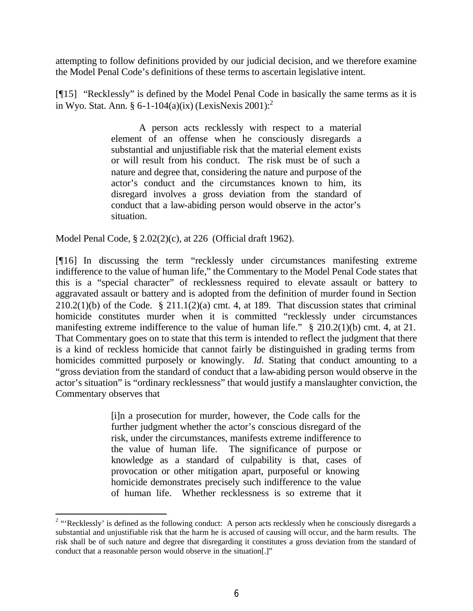attempting to follow definitions provided by our judicial decision, and we therefore examine the Model Penal Code's definitions of these terms to ascertain legislative intent.

[¶15] "Recklessly" is defined by the Model Penal Code in basically the same terms as it is in Wyo. Stat. Ann. § 6-1-104(a)(ix) (LexisNexis 2001):<sup>2</sup>

> A person acts recklessly with respect to a material element of an offense when he consciously disregards a substantial and unjustifiable risk that the material element exists or will result from his conduct. The risk must be of such a nature and degree that, considering the nature and purpose of the actor's conduct and the circumstances known to him, its disregard involves a gross deviation from the standard of conduct that a law-abiding person would observe in the actor's situation.

Model Penal Code, § 2.02(2)(c), at 226 (Official draft 1962).

[¶16] In discussing the term "recklessly under circumstances manifesting extreme indifference to the value of human life," the Commentary to the Model Penal Code states that this is a "special character" of recklessness required to elevate assault or battery to aggravated assault or battery and is adopted from the definition of murder found in Section  $210.2(1)(b)$  of the Code. § 211.1(2)(a) cmt. 4, at 189. That discussion states that criminal homicide constitutes murder when it is committed "recklessly under circumstances manifesting extreme indifference to the value of human life." § 210.2(1)(b) cmt. 4, at 21. That Commentary goes on to state that this term is intended to reflect the judgment that there is a kind of reckless homicide that cannot fairly be distinguished in grading terms from homicides committed purposely or knowingly. *Id.* Stating that conduct amounting to a "gross deviation from the standard of conduct that a law-abiding person would observe in the actor's situation" is "ordinary recklessness" that would justify a manslaughter conviction, the Commentary observes that

> [i]n a prosecution for murder, however, the Code calls for the further judgment whether the actor's conscious disregard of the risk, under the circumstances, manifests extreme indifference to the value of human life. The significance of purpose or knowledge as a standard of culpability is that, cases of provocation or other mitigation apart, purposeful or knowing homicide demonstrates precisely such indifference to the value of human life. Whether recklessness is so extreme that it

<sup>&</sup>lt;sup>2</sup> "'Recklessly' is defined as the following conduct: A person acts recklessly when he consciously disregards a substantial and unjustifiable risk that the harm he is accused of causing will occur, and the harm results. The risk shall be of such nature and degree that disregarding it constitutes a gross deviation from the standard of conduct that a reasonable person would observe in the situation[.]"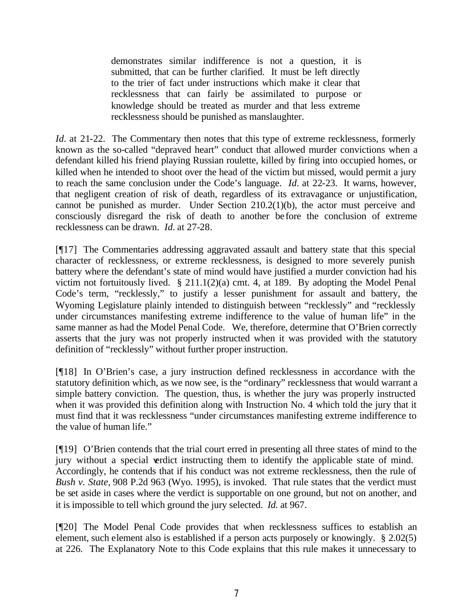demonstrates similar indifference is not a question, it is submitted, that can be further clarified. It must be left directly to the trier of fact under instructions which make it clear that recklessness that can fairly be assimilated to purpose or knowledge should be treated as murder and that less extreme recklessness should be punished as manslaughter.

*Id.* at 21-22. The Commentary then notes that this type of extreme recklessness, formerly known as the so-called "depraved heart" conduct that allowed murder convictions when a defendant killed his friend playing Russian roulette, killed by firing into occupied homes, or killed when he intended to shoot over the head of the victim but missed, would permit a jury to reach the same conclusion under the Code's language. *Id.* at 22-23. It warns, however, that negligent creation of risk of death, regardless of its extravagance or unjustification, cannot be punished as murder. Under Section 210.2(1)(b), the actor must perceive and consciously disregard the risk of death to another before the conclusion of extreme recklessness can be drawn. *Id.* at 27-28.

[¶17] The Commentaries addressing aggravated assault and battery state that this special character of recklessness, or extreme recklessness, is designed to more severely punish battery where the defendant's state of mind would have justified a murder conviction had his victim not fortuitously lived. § 211.1(2)(a) cmt. 4, at 189. By adopting the Model Penal Code's term, "recklessly," to justify a lesser punishment for assault and battery, the Wyoming Legislature plainly intended to distinguish between "recklessly" and "recklessly under circumstances manifesting extreme indifference to the value of human life" in the same manner as had the Model Penal Code. We, therefore, determine that O'Brien correctly asserts that the jury was not properly instructed when it was provided with the statutory definition of "recklessly" without further proper instruction.

[¶18] In O'Brien's case, a jury instruction defined recklessness in accordance with the statutory definition which, as we now see, is the "ordinary" recklessness that would warrant a simple battery conviction. The question, thus, is whether the jury was properly instructed when it was provided this definition along with Instruction No. 4 which told the jury that it must find that it was recklessness "under circumstances manifesting extreme indifference to the value of human life."

[¶19] O'Brien contends that the trial court erred in presenting all three states of mind to the jury without a special verdict instructing them to identify the applicable state of mind. Accordingly, he contends that if his conduct was not extreme recklessness, then the rule of *Bush v. State,* 908 P.2d 963 (Wyo. 1995), is invoked. That rule states that the verdict must be set aside in cases where the verdict is supportable on one ground, but not on another, and it is impossible to tell which ground the jury selected. *Id.* at 967.

[¶20] The Model Penal Code provides that when recklessness suffices to establish an element, such element also is established if a person acts purposely or knowingly. § 2.02(5) at 226. The Explanatory Note to this Code explains that this rule makes it unnecessary to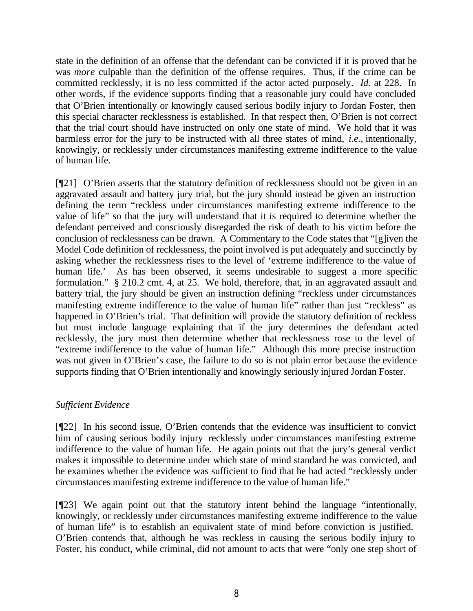state in the definition of an offense that the defendant can be convicted if it is proved that he was *more* culpable than the definition of the offense requires. Thus, if the crime can be committed recklessly, it is no less committed if the actor acted purposely. *Id.* at 228. In other words, if the evidence supports finding that a reasonable jury could have concluded that O'Brien intentionally or knowingly caused serious bodily injury to Jordan Foster, then this special character recklessness is established. In that respect then, O'Brien is not correct that the trial court should have instructed on only one state of mind. We hold that it was harmless error for the jury to be instructed with all three states of mind, *i.e.,* intentionally, knowingly, or recklessly under circumstances manifesting extreme indifference to the value of human life.

[¶21] O'Brien asserts that the statutory definition of recklessness should not be given in an aggravated assault and battery jury trial, but the jury should instead be given an instruction defining the term "reckless under circumstances manifesting extreme indifference to the value of life" so that the jury will understand that it is required to determine whether the defendant perceived and consciously disregarded the risk of death to his victim before the conclusion of recklessness can be drawn. A Commentary to the Code states that "[g]iven the Model Code definition of recklessness, the point involved is put adequately and succinctly by asking whether the recklessness rises to the level of 'extreme indifference to the value of human life.' As has been observed, it seems undesirable to suggest a more specific formulation." § 210.2 cmt. 4, at 25. We hold, therefore, that, in an aggravated assault and battery trial, the jury should be given an instruction defining "reckless under circumstances manifesting extreme indifference to the value of human life" rather than just "reckless" as happened in O'Brien's trial. That definition will provide the statutory definition of reckless but must include language explaining that if the jury determines the defendant acted recklessly, the jury must then determine whether that recklessness rose to the level of "extreme indifference to the value of human life." Although this more precise instruction was not given in O'Brien's case, the failure to do so is not plain error because the evidence supports finding that O'Brien intentionally and knowingly seriously injured Jordan Foster.

### *Sufficient Evidence*

[¶22] In his second issue, O'Brien contends that the evidence was insufficient to convict him of causing serious bodily injury recklessly under circumstances manifesting extreme indifference to the value of human life. He again points out that the jury's general verdict makes it impossible to determine under which state of mind standard he was convicted, and he examines whether the evidence was sufficient to find that he had acted "recklessly under circumstances manifesting extreme indifference to the value of human life."

[¶23] We again point out that the statutory intent behind the language "intentionally, knowingly, or recklessly under circumstances manifesting extreme indifference to the value of human life" is to establish an equivalent state of mind before conviction is justified. O'Brien contends that, although he was reckless in causing the serious bodily injury to Foster, his conduct, while criminal, did not amount to acts that were "only one step short of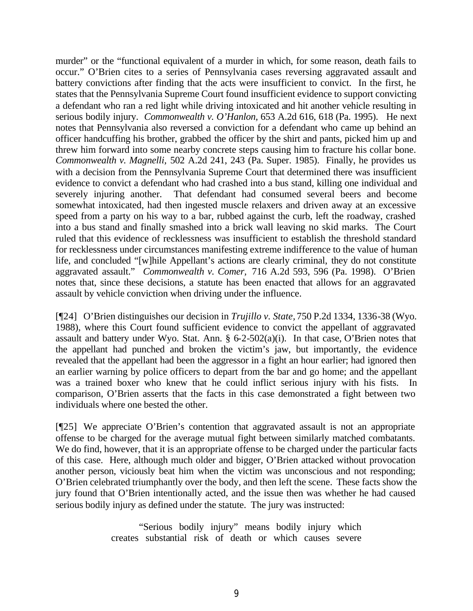murder" or the "functional equivalent of a murder in which, for some reason, death fails to occur." O'Brien cites to a series of Pennsylvania cases reversing aggravated assault and battery convictions after finding that the acts were insufficient to convict. In the first, he states that the Pennsylvania Supreme Court found insufficient evidence to support convicting a defendant who ran a red light while driving intoxicated and hit another vehicle resulting in serious bodily injury. *Commonwealth v. O'Hanlon,* 653 A.2d 616, 618 (Pa. 1995). He next notes that Pennsylvania also reversed a conviction for a defendant who came up behind an officer handcuffing his brother, grabbed the officer by the shirt and pants, picked him up and threw him forward into some nearby concrete steps causing him to fracture his collar bone. *Commonwealth v. Magnelli,* 502 A.2d 241, 243 (Pa. Super. 1985). Finally, he provides us with a decision from the Pennsylvania Supreme Court that determined there was insufficient evidence to convict a defendant who had crashed into a bus stand, killing one individual and severely injuring another. That defendant had consumed several beers and become somewhat intoxicated, had then ingested muscle relaxers and driven away at an excessive speed from a party on his way to a bar, rubbed against the curb, left the roadway, crashed into a bus stand and finally smashed into a brick wall leaving no skid marks. The Court ruled that this evidence of recklessness was insufficient to establish the threshold standard for recklessness under circumstances manifesting extreme indifference to the value of human life, and concluded "[w]hile Appellant's actions are clearly criminal, they do not constitute aggravated assault." *Commonwealth v. Comer,* 716 A.2d 593, 596 (Pa. 1998). O'Brien notes that, since these decisions, a statute has been enacted that allows for an aggravated assault by vehicle conviction when driving under the influence.

[¶24] O'Brien distinguishes our decision in *Trujillo v. State,* 750 P.2d 1334, 1336-38 (Wyo. 1988), where this Court found sufficient evidence to convict the appellant of aggravated assault and battery under Wyo. Stat. Ann. § 6-2-502(a)(i). In that case, O'Brien notes that the appellant had punched and broken the victim's jaw, but importantly, the evidence revealed that the appellant had been the aggressor in a fight an hour earlier; had ignored then an earlier warning by police officers to depart from the bar and go home; and the appellant was a trained boxer who knew that he could inflict serious injury with his fists. In comparison, O'Brien asserts that the facts in this case demonstrated a fight between two individuals where one bested the other.

[¶25] We appreciate O'Brien's contention that aggravated assault is not an appropriate offense to be charged for the average mutual fight between similarly matched combatants. We do find, however, that it is an appropriate offense to be charged under the particular facts of this case. Here, although much older and bigger, O'Brien attacked without provocation another person, viciously beat him when the victim was unconscious and not responding; O'Brien celebrated triumphantly over the body, and then left the scene. These facts show the jury found that O'Brien intentionally acted, and the issue then was whether he had caused serious bodily injury as defined under the statute. The jury was instructed:

> "Serious bodily injury" means bodily injury which creates substantial risk of death or which causes severe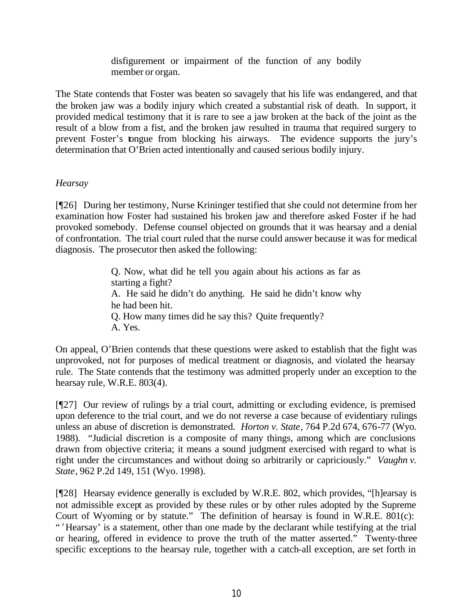disfigurement or impairment of the function of any bodily member or organ.

The State contends that Foster was beaten so savagely that his life was endangered, and that the broken jaw was a bodily injury which created a substantial risk of death. In support, it provided medical testimony that it is rare to see a jaw broken at the back of the joint as the result of a blow from a fist, and the broken jaw resulted in trauma that required surgery to prevent Foster's tongue from blocking his airways. The evidence supports the jury's determination that O'Brien acted intentionally and caused serious bodily injury.

### *Hearsay*

[¶26] During her testimony, Nurse Krininger testified that she could not determine from her examination how Foster had sustained his broken jaw and therefore asked Foster if he had provoked somebody. Defense counsel objected on grounds that it was hearsay and a denial of confrontation. The trial court ruled that the nurse could answer because it was for medical diagnosis. The prosecutor then asked the following:

> Q. Now, what did he tell you again about his actions as far as starting a fight? A. He said he didn't do anything. He said he didn't know why he had been hit. Q. How many times did he say this? Quite frequently? A. Yes.

On appeal, O'Brien contends that these questions were asked to establish that the fight was unprovoked, not for purposes of medical treatment or diagnosis, and violated the hearsay rule. The State contends that the testimony was admitted properly under an exception to the hearsay rule, W.R.E. 803(4).

[¶27] Our review of rulings by a trial court, admitting or excluding evidence, is premised upon deference to the trial court, and we do not reverse a case because of evidentiary rulings unless an abuse of discretion is demonstrated. *Horton v. State*, 764 P.2d 674, 676-77 (Wyo. 1988). "Judicial discretion is a composite of many things, among which are conclusions drawn from objective criteria; it means a sound judgment exercised with regard to what is right under the circumstances and without doing so arbitrarily or capriciously." *Vaughn v. State*, 962 P.2d 149, 151 (Wyo. 1998).

[¶28] Hearsay evidence generally is excluded by W.R.E. 802, which provides, "[h]earsay is not admissible except as provided by these rules or by other rules adopted by the Supreme Court of Wyoming or by statute." The definition of hearsay is found in W.R.E. 801(c): " 'Hearsay' is a statement, other than one made by the declarant while testifying at the trial or hearing, offered in evidence to prove the truth of the matter asserted." Twenty-three specific exceptions to the hearsay rule, together with a catch-all exception, are set forth in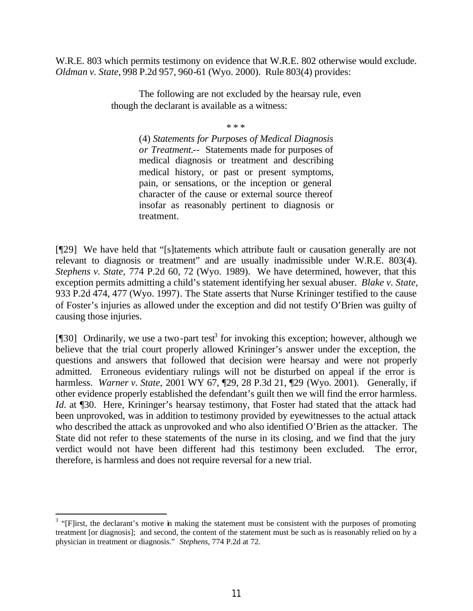W.R.E. 803 which permits testimony on evidence that W.R.E. 802 otherwise would exclude. *Oldman v. State,* 998 P.2d 957, 960-61 (Wyo. 2000). Rule 803(4) provides:

> The following are not excluded by the hearsay rule, even though the declarant is available as a witness:

> > \* \* \*

(4) *Statements for Purposes of Medical Diagnosis or Treatment.*-- Statements made for purposes of medical diagnosis or treatment and describing medical history, or past or present symptoms, pain, or sensations, or the inception or general character of the cause or external source thereof insofar as reasonably pertinent to diagnosis or treatment.

[¶29] We have held that "[s]tatements which attribute fault or causation generally are not relevant to diagnosis or treatment" and are usually inadmissible under W.R.E. 803(4). *Stephens v. State,* 774 P.2d 60, 72 (Wyo. 1989). We have determined, however, that this exception permits admitting a child's statement identifying her sexual abuser. *Blake v. State,* 933 P.2d 474, 477 (Wyo. 1997)*.* The State asserts that Nurse Krininger testified to the cause of Foster's injuries as allowed under the exception and did not testify O'Brien was guilty of causing those injuries.

[ $[$ [30] Ordinarily, we use a two-part test<sup>3</sup> for invoking this exception; however, although we believe that the trial court properly allowed Krininger's answer under the exception, the questions and answers that followed that decision were hearsay and were not properly admitted. Erroneous evidentiary rulings will not be disturbed on appeal if the error is harmless. *Warner v. State,* 2001 WY 67, ¶29, 28 P.3d 21, ¶29 (Wyo. 2001). Generally, if other evidence properly established the defendant's guilt then we will find the error harmless. *Id.* at ¶30. Here, Krininger's hearsay testimony, that Foster had stated that the attack had been unprovoked, was in addition to testimony provided by eyewitnesses to the actual attack who described the attack as unprovoked and who also identified O'Brien as the attacker. The State did not refer to these statements of the nurse in its closing, and we find that the jury verdict would not have been different had this testimony been excluded. The error, therefore, is harmless and does not require reversal for a new trial.

 $3$  "[F]irst, the declarant's motive in making the statement must be consistent with the purposes of promoting treatment [or diagnosis]; and second, the content of the statement must be such as is reasonably relied on by a physician in treatment or diagnosis." *Stephens*, 774 P.2d at 72.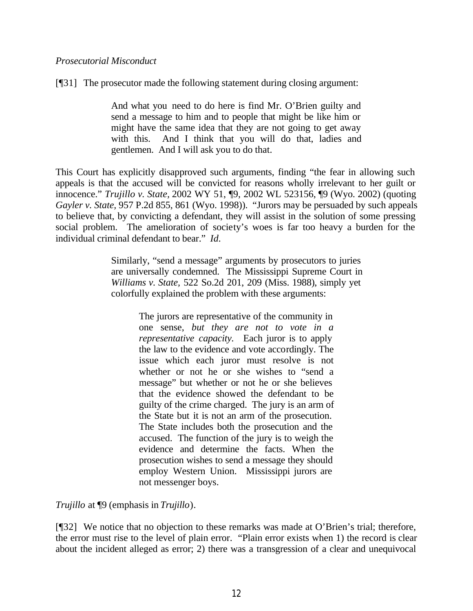### *Prosecutorial Misconduct*

[¶31] The prosecutor made the following statement during closing argument:

And what you need to do here is find Mr. O'Brien guilty and send a message to him and to people that might be like him or might have the same idea that they are not going to get away with this. And I think that you will do that, ladies and gentlemen. And I will ask you to do that.

This Court has explicitly disapproved such arguments, finding "the fear in allowing such appeals is that the accused will be convicted for reasons wholly irrelevant to her guilt or innocence." *Trujillo v. State,* 2002 WY 51, ¶9, 2002 WL 523156, ¶9 (Wyo. 2002) (quoting *Gayler v. State,* 957 P.2d 855, 861 (Wyo. 1998)). "Jurors may be persuaded by such appeals to believe that, by convicting a defendant, they will assist in the solution of some pressing social problem. The amelioration of society's woes is far too heavy a burden for the individual criminal defendant to bear." *Id.*

> Similarly, "send a message" arguments by prosecutors to juries are universally condemned. The Mississippi Supreme Court in *Williams v. State,* 522 So.2d 201, 209 (Miss. 1988), simply yet colorfully explained the problem with these arguments:

> > The jurors are representative of the community in one sense, *but they are not to vote in a representative capacity.* Each juror is to apply the law to the evidence and vote accordingly. The issue which each juror must resolve is not whether or not he or she wishes to "send a message" but whether or not he or she believes that the evidence showed the defendant to be guilty of the crime charged. The jury is an arm of the State but it is not an arm of the prosecution. The State includes both the prosecution and the accused. The function of the jury is to weigh the evidence and determine the facts. When the prosecution wishes to send a message they should employ Western Union. Mississippi jurors are not messenger boys.

*Trujillo* at ¶9 (emphasis in *Trujillo*).

[¶32] We notice that no objection to these remarks was made at O'Brien's trial; therefore, the error must rise to the level of plain error. "Plain error exists when 1) the record is clear about the incident alleged as error; 2) there was a transgression of a clear and unequivocal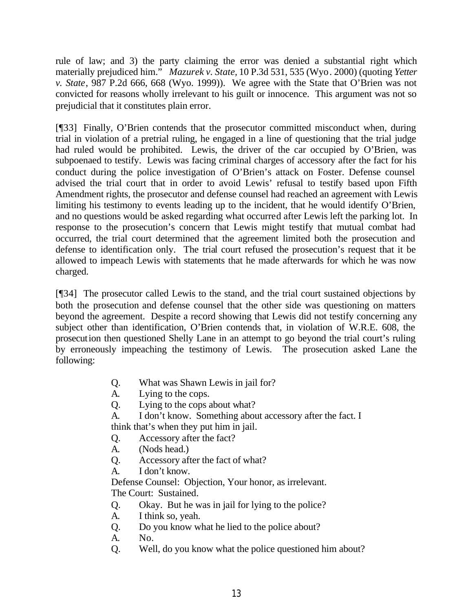rule of law; and 3) the party claiming the error was denied a substantial right which materially prejudiced him." *Mazurek v. State,* 10 P.3d 531, 535 (Wyo. 2000) (quoting *Yetter v. State*, 987 P.2d 666, 668 (Wyo. 1999)). We agree with the State that O'Brien was not convicted for reasons wholly irrelevant to his guilt or innocence. This argument was not so prejudicial that it constitutes plain error.

[¶33] Finally, O'Brien contends that the prosecutor committed misconduct when, during trial in violation of a pretrial ruling, he engaged in a line of questioning that the trial judge had ruled would be prohibited. Lewis, the driver of the car occupied by O'Brien, was subpoenaed to testify. Lewis was facing criminal charges of accessory after the fact for his conduct during the police investigation of O'Brien's attack on Foster. Defense counsel advised the trial court that in order to avoid Lewis' refusal to testify based upon Fifth Amendment rights, the prosecutor and defense counsel had reached an agreement with Lewis limiting his testimony to events leading up to the incident, that he would identify O'Brien, and no questions would be asked regarding what occurred after Lewis left the parking lot. In response to the prosecution's concern that Lewis might testify that mutual combat had occurred, the trial court determined that the agreement limited both the prosecution and defense to identification only. The trial court refused the prosecution's request that it be allowed to impeach Lewis with statements that he made afterwards for which he was now charged.

[¶34] The prosecutor called Lewis to the stand, and the trial court sustained objections by both the prosecution and defense counsel that the other side was questioning on matters beyond the agreement. Despite a record showing that Lewis did not testify concerning any subject other than identification, O'Brien contends that, in violation of W.R.E. 608, the prosecution then questioned Shelly Lane in an attempt to go beyond the trial court's ruling by erroneously impeaching the testimony of Lewis. The prosecution asked Lane the following:

- Q. What was Shawn Lewis in jail for?
- A. Lying to the cops.
- Q. Lying to the cops about what?
- A. I don't know. Something about accessory after the fact. I think that's when they put him in jail.
- Q. Accessory after the fact?
- A. (Nods head.)
- Q. Accessory after the fact of what?
- A. I don't know.

Defense Counsel: Objection, Your honor, as irrelevant. The Court: Sustained.

- Q. Okay. But he was in jail for lying to the police?
- A. I think so, yeah.
- Q. Do you know what he lied to the police about?
- A. No.
- Q. Well, do you know what the police questioned him about?